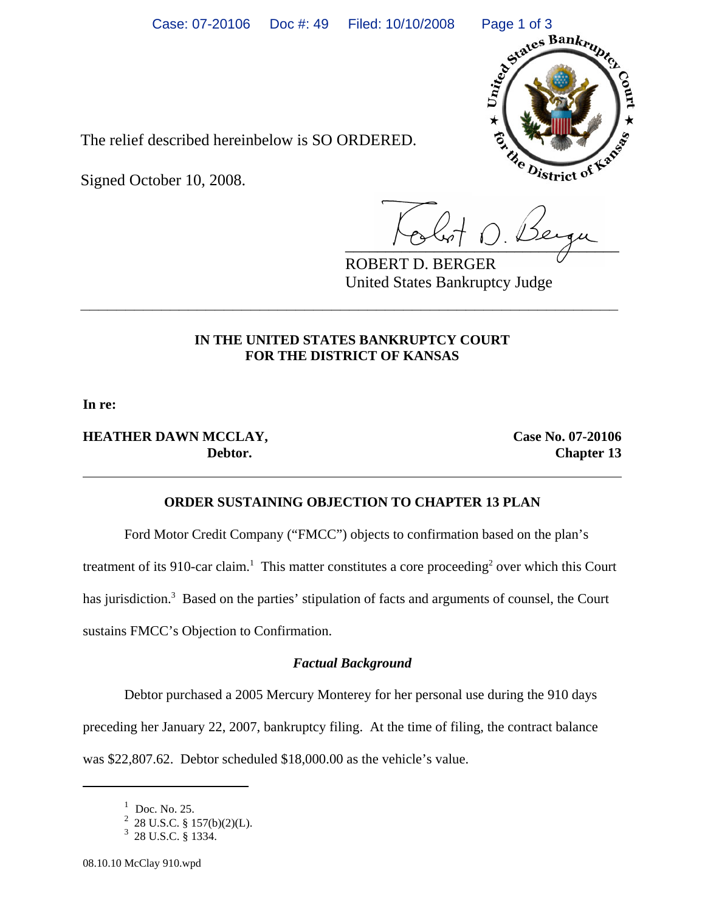

The relief described hereinbelow is SO ORDERED.

Signed October 10, 2008.

 $\frac{1}{2}$ 

ROBERT D. BERGER United States Bankruptcy Judge

## **IN THE UNITED STATES BANKRUPTCY COURT FOR THE DISTRICT OF KANSAS**

**\_\_\_\_\_\_\_\_\_\_\_\_\_\_\_\_\_\_\_\_\_\_\_\_\_\_\_\_\_\_\_\_\_\_\_\_\_\_\_\_\_\_\_\_\_\_\_\_\_\_\_\_\_\_\_\_\_\_\_\_**

**In re:**

# **HEATHER DAWN MCCLAY, Case No. 07-20106**

**Debtor.** Chapter 13

### **ORDER SUSTAINING OBJECTION TO CHAPTER 13 PLAN**

Ford Motor Credit Company ("FMCC") objects to confirmation based on the plan's

treatment of its 910-car claim.<sup>1</sup> This matter constitutes a core proceeding<sup>2</sup> over which this Court

has jurisdiction.<sup>3</sup> Based on the parties' stipulation of facts and arguments of counsel, the Court

sustains FMCC's Objection to Confirmation.

## *Factual Background*

Debtor purchased a 2005 Mercury Monterey for her personal use during the 910 days preceding her January 22, 2007, bankruptcy filing. At the time of filing, the contract balance

was \$22,807.62. Debtor scheduled \$18,000.00 as the vehicle's value.

<sup>1</sup> Doc. No. 25.

 $\frac{2}{3}$  28 U.S.C. § 157(b)(2)(L).<br>3 28 U.S.C. § 1334.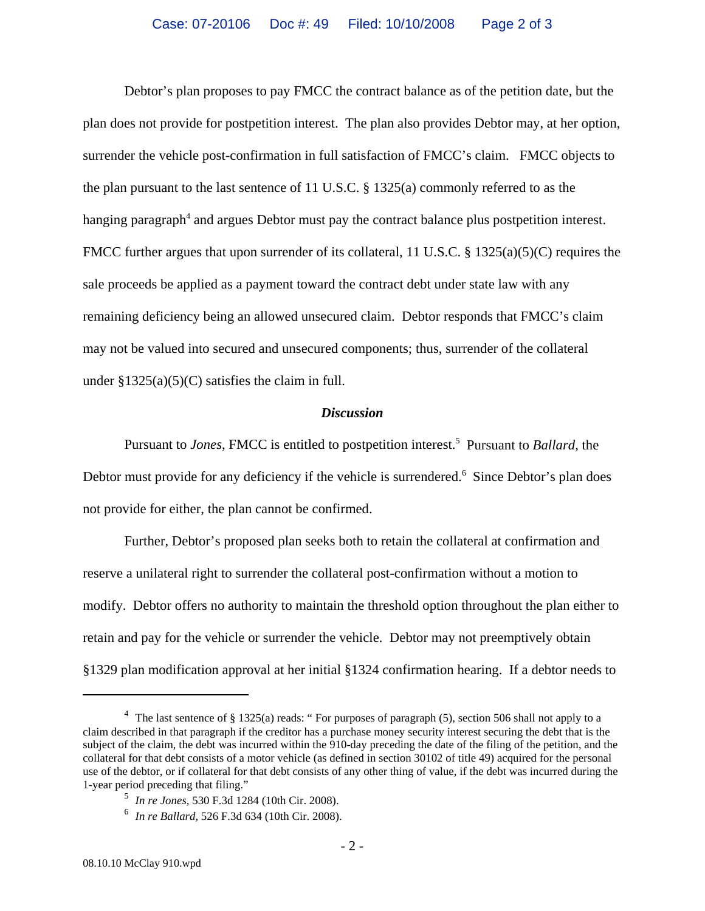Debtor's plan proposes to pay FMCC the contract balance as of the petition date, but the plan does not provide for postpetition interest. The plan also provides Debtor may, at her option, surrender the vehicle post-confirmation in full satisfaction of FMCC's claim. FMCC objects to the plan pursuant to the last sentence of 11 U.S.C.  $\S$  1325(a) commonly referred to as the hanging paragraph<sup>4</sup> and argues Debtor must pay the contract balance plus postpetition interest. FMCC further argues that upon surrender of its collateral, 11 U.S.C. § 1325(a)(5)(C) requires the sale proceeds be applied as a payment toward the contract debt under state law with any remaining deficiency being an allowed unsecured claim. Debtor responds that FMCC's claim may not be valued into secured and unsecured components; thus, surrender of the collateral under  $$1325(a)(5)(C)$  satisfies the claim in full.

#### *Discussion*

Pursuant to *Jones*, FMCC is entitled to postpetition interest.<sup>5</sup> Pursuant to *Ballard*, the Debtor must provide for any deficiency if the vehicle is surrendered.<sup>6</sup> Since Debtor's plan does not provide for either, the plan cannot be confirmed.

Further, Debtor's proposed plan seeks both to retain the collateral at confirmation and reserve a unilateral right to surrender the collateral post-confirmation without a motion to modify. Debtor offers no authority to maintain the threshold option throughout the plan either to retain and pay for the vehicle or surrender the vehicle. Debtor may not preemptively obtain §1329 plan modification approval at her initial §1324 confirmation hearing. If a debtor needs to

<sup>&</sup>lt;sup>4</sup> The last sentence of § 1325(a) reads: "For purposes of paragraph (5), section 506 shall not apply to a claim described in that paragraph if the creditor has a purchase money security interest securing the debt that is the subject of the claim, the debt was incurred within the 910-day preceding the date of the filing of the petition, and the collateral for that debt consists of a motor vehicle (as defined in section 30102 of title 49) acquired for the personal use of the debtor, or if collateral for that debt consists of any other thing of value, if the debt was incurred during the 1-year period preceding that filing."

<sup>5</sup> *In re Jones,* 530 F.3d 1284 (10th Cir. 2008).

<sup>6</sup> *In re Ballard,* 526 F.3d 634 (10th Cir. 2008).